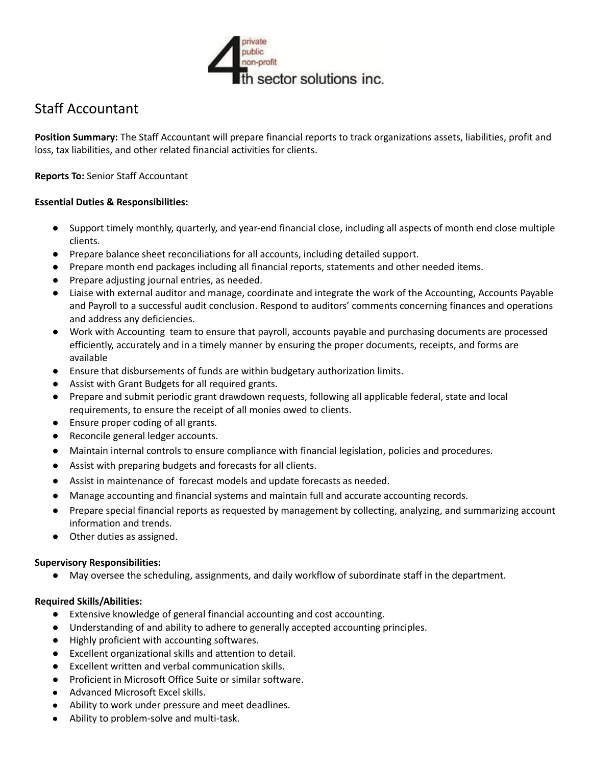

# Staff Accountant

**Position Summary:** The Staff Accountant will prepare financial reports to track organizations assets, liabilities, profit and loss, tax liabilities, and other related financial activities for clients.

**Reports To:** Senior Staff Accountant

# **Essential Duties & Responsibilities:**

- Support timely monthly, quarterly, and year-end financial close, including all aspects of month end close multiple clients.
- Prepare balance sheet reconciliations for all accounts, including detailed support.
- Prepare month end packages including all financial reports, statements and other needed items.
- Prepare adjusting journal entries, as needed.
- Liaise with external auditor and manage, coordinate and integrate the work of the Accounting, Accounts Payable and Payroll to a successful audit conclusion. Respond to auditors' comments concerning finances and operations and address any deficiencies.
- Work with Accounting team to ensure that payroll, accounts payable and purchasing documents are processed efficiently, accurately and in a timely manner by ensuring the proper documents, receipts, and forms are available
- Ensure that disbursements of funds are within budgetary authorization limits.
- Assist with Grant Budgets for all required grants.
- Prepare and submit periodic grant drawdown requests, following all applicable federal, state and local requirements, to ensure the receipt of all monies owed to clients.
- Ensure proper coding of all grants.
- Reconcile general ledger accounts.
- Maintain internal controls to ensure compliance with financial legislation, policies and procedures.
- Assist with preparing budgets and forecasts for all clients.
- Assist in maintenance of forecast models and update forecasts as needed.
- Manage accounting and financial systems and maintain full and accurate accounting records.
- Prepare special financial reports as requested by management by collecting, analyzing, and summarizing account information and trends.
- Other duties as assigned.

### **Supervisory Responsibilities:**

May oversee the scheduling, assignments, and daily workflow of subordinate staff in the department.

### **Required Skills/Abilities:**

- Extensive knowledge of general financial accounting and cost accounting.
- Understanding of and ability to adhere to generally accepted accounting principles.
- Highly proficient with accounting softwares.
- Excellent organizational skills and attention to detail.
- Excellent written and verbal communication skills.
- Proficient in Microsoft Office Suite or similar software.
- Advanced Microsoft Excel skills.
- Ability to work under pressure and meet deadlines.
- Ability to problem-solve and multi-task.